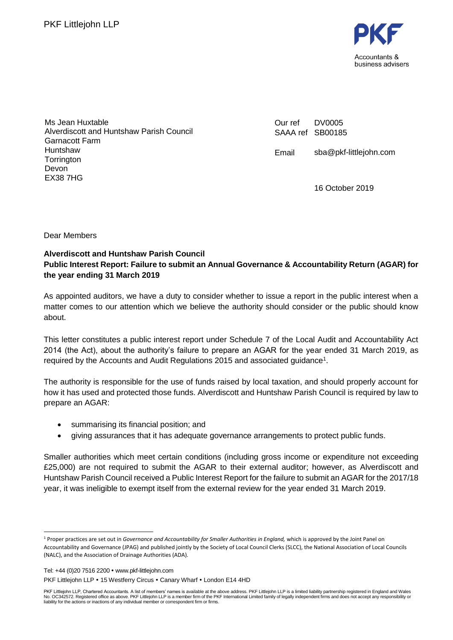

Ms Jean Huxtable Alverdiscott and Huntshaw Parish Council Garnacott Farm Huntshaw **Torrington** Devon EX38 7HG

Our ref SAAA ref SB00185 DV0005

Email sba@pkf-littlejohn.com

16 October 2019

Dear Members

## **Alverdiscott and Huntshaw Parish Council Public Interest Report: Failure to submit an Annual Governance & Accountability Return (AGAR) for the year ending 31 March 2019**

As appointed auditors, we have a duty to consider whether to issue a report in the public interest when a matter comes to our attention which we believe the authority should consider or the public should know about.

This letter constitutes a public interest report under Schedule 7 of the Local Audit and Accountability Act 2014 (the Act), about the authority's failure to prepare an AGAR for the year ended 31 March 2019, as required by the Accounts and Audit Regulations 2015 and associated guidance<sup>1</sup>.

The authority is responsible for the use of funds raised by local taxation, and should properly account for how it has used and protected those funds. Alverdiscott and Huntshaw Parish Council is required by law to prepare an AGAR:

- summarising its financial position; and
- giving assurances that it has adequate governance arrangements to protect public funds.

Smaller authorities which meet certain conditions (including gross income or expenditure not exceeding £25,000) are not required to submit the AGAR to their external auditor; however, as Alverdiscott and Huntshaw Parish Council received a Public Interest Report for the failure to submit an AGAR for the 2017/18 year, it was ineligible to exempt itself from the external review for the year ended 31 March 2019.

Tel: +44 (0)20 7516 2200 www.pkf-littlejohn.com

<sup>1</sup> Proper practices are set out in *Governance and Accountability for Smaller Authorities in England,* which is approved by the Joint Panel on Accountability and Governance (JPAG) and published jointly by the Society of Local Council Clerks (SLCC), the National Association of Local Councils (NALC), and the Association of Drainage Authorities (ADA).

PKF Littlejohn LLP • 15 Westferry Circus • Canary Wharf • London E14 4HD

PKF Littlejohn LLP, Chartered Accountants. A list of members' names is available at the above address. PKF Littlejohn LLP is a limited liability partnership registered in England and Wales No. OC342572. Registered office as above. PKF Littlejohn LLP is a member firm of the PKF International Limited family of legally independent firms and does not accept any responsibility or<br>liability for the actions or inac